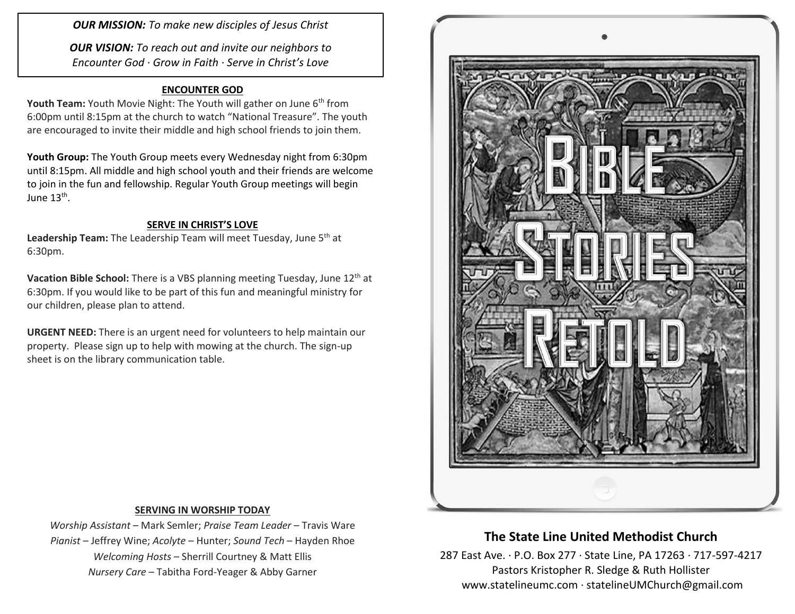*OUR MISSION: To make new disciples of Jesus Christ*

*OUR VISION: To reach out and invite our neighbors to Encounter God · Grow in Faith · Serve in Christ's Love*

#### **ENCOUNTER GOD**

**Youth Team:** Youth Movie Night: The Youth will gather on June 6<sup>th</sup> from 6:00pm until 8:15pm at the church to watch "National Treasure". The youth are encouraged to invite their middle and high school friends to join them.

**Youth Group:** The Youth Group meets every Wednesday night from 6:30pm until 8:15pm. All middle and high school youth and their friends are welcome to join in the fun and fellowship. Regular Youth Group meetings will begin June 13<sup>th</sup>.

#### **SERVE IN CHRIST'S LOVE**

Leadership Team: The Leadership Team will meet Tuesday, June 5<sup>th</sup> at 6:30pm.

**Vacation Bible School:** There is a VBS planning meeting Tuesday, June 12th at 6:30pm. If you would like to be part of this fun and meaningful ministry for our children, please plan to attend.

**URGENT NEED:** There is an urgent need for volunteers to help maintain our property. Please sign up to help with mowing at the church. The sign-up sheet is on the library communication table.



#### **SERVING IN WORSHIP TODAY**

*Worship Assistant* – Mark Semler; *Praise Team Leader* – Travis Ware *Pianist* – Jeffrey Wine; *Acolyte* – Hunter; *Sound Tech* – Hayden Rhoe *Welcoming Hosts* – Sherrill Courtney & Matt Ellis *Nursery Care* – Tabitha Ford-Yeager & Abby Garner

# **The State Line United Methodist Church**

287 East Ave. · P.O. Box 277 · State Line, PA 17263 · 717-597-4217 Pastors Kristopher R. Sledge & Ruth Hollister [www.statelineumc.com](http://www.statelineumc.com/) · statelineUMChurch@gmail.com